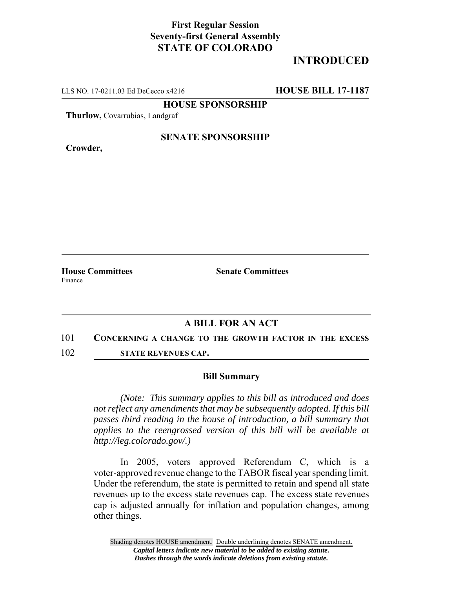## **First Regular Session Seventy-first General Assembly STATE OF COLORADO**

# **INTRODUCED**

LLS NO. 17-0211.03 Ed DeCecco x4216 **HOUSE BILL 17-1187**

**HOUSE SPONSORSHIP**

**Thurlow,** Covarrubias, Landgraf

**Crowder,**

#### **SENATE SPONSORSHIP**

**House Committees Senate Committees** Finance

### **A BILL FOR AN ACT**

- 101 **CONCERNING A CHANGE TO THE GROWTH FACTOR IN THE EXCESS**
- 102 **STATE REVENUES CAP.**

#### **Bill Summary**

*(Note: This summary applies to this bill as introduced and does not reflect any amendments that may be subsequently adopted. If this bill passes third reading in the house of introduction, a bill summary that applies to the reengrossed version of this bill will be available at http://leg.colorado.gov/.)*

In 2005, voters approved Referendum C, which is a voter-approved revenue change to the TABOR fiscal year spending limit. Under the referendum, the state is permitted to retain and spend all state revenues up to the excess state revenues cap. The excess state revenues cap is adjusted annually for inflation and population changes, among other things.

Shading denotes HOUSE amendment. Double underlining denotes SENATE amendment. *Capital letters indicate new material to be added to existing statute. Dashes through the words indicate deletions from existing statute.*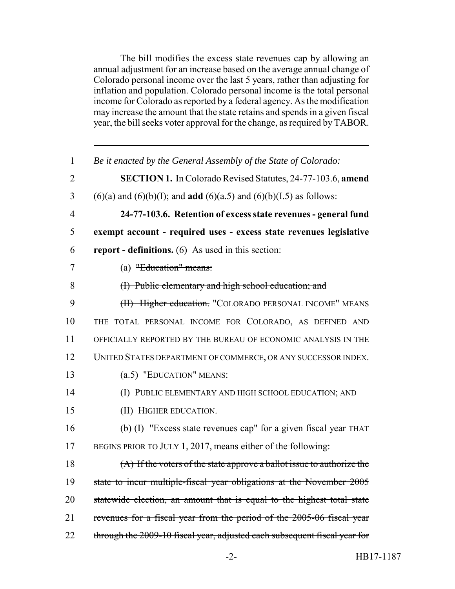The bill modifies the excess state revenues cap by allowing an annual adjustment for an increase based on the average annual change of Colorado personal income over the last 5 years, rather than adjusting for inflation and population. Colorado personal income is the total personal income for Colorado as reported by a federal agency. As the modification may increase the amount that the state retains and spends in a given fiscal year, the bill seeks voter approval for the change, as required by TABOR.

| $\mathbf{1}$   | Be it enacted by the General Assembly of the State of Colorado:                    |
|----------------|------------------------------------------------------------------------------------|
| $\overline{2}$ | <b>SECTION 1.</b> In Colorado Revised Statutes, 24-77-103.6, amend                 |
| 3              | $(6)(a)$ and $(6)(b)(I)$ ; and <b>add</b> $(6)(a.5)$ and $(6)(b)(I.5)$ as follows: |
| $\overline{4}$ | 24-77-103.6. Retention of excess state revenues - general fund                     |
| 5              | exempt account - required uses - excess state revenues legislative                 |
| 6              | <b>report</b> - definitions. (6) As used in this section:                          |
| $\overline{7}$ | (a) "Education" means:                                                             |
| 8              | (I) Public elementary and high school education; and                               |
| 9              | (H) Higher education. "COLORADO PERSONAL INCOME" MEANS                             |
| 10             | THE TOTAL PERSONAL INCOME FOR COLORADO, AS DEFINED AND                             |
| 11             | OFFICIALLY REPORTED BY THE BUREAU OF ECONOMIC ANALYSIS IN THE                      |
| 12             | UNITED STATES DEPARTMENT OF COMMERCE, OR ANY SUCCESSOR INDEX.                      |
| 13             | (a.5) "EDUCATION" MEANS:                                                           |
| 14             | (I) PUBLIC ELEMENTARY AND HIGH SCHOOL EDUCATION; AND                               |
| 15             | (II) HIGHER EDUCATION.                                                             |
| 16             | (b) (I) "Excess state revenues cap" for a given fiscal year THAT                   |
| 17             | BEGINS PRIOR TO JULY 1, 2017, means either of the following:                       |
| 18             | (A) If the voters of the state approve a ballot issue to authorize the             |
| 19             | state to incur multiple-fiscal year obligations at the November 2005               |
| 20             | statewide election, an amount that is equal to the highest total state             |
| 21             | revenues for a fiscal year from the period of the 2005-06 fiscal year              |
| 22             | through the 2009-10 fiscal year, adjusted each subsequent fiscal year for          |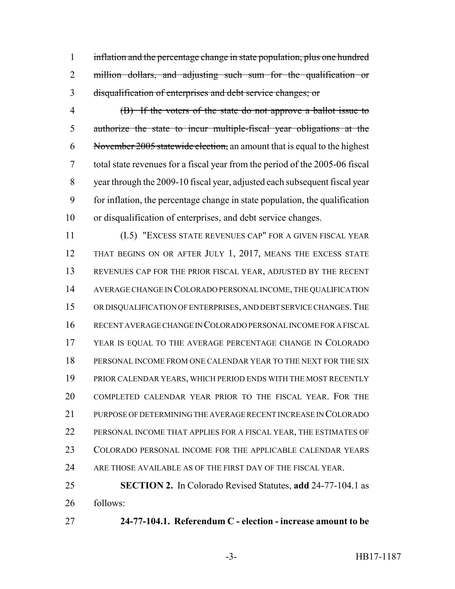1 inflation and the percentage change in state population, plus one hundred 2 million dollars, and adjusting such sum for the qualification or disqualification of enterprises and debt service changes; or

 (B) If the voters of the state do not approve a ballot issue to authorize the state to incur multiple-fiscal year obligations at the 6 November 2005 statewide election, an amount that is equal to the highest total state revenues for a fiscal year from the period of the 2005-06 fiscal year through the 2009-10 fiscal year, adjusted each subsequent fiscal year for inflation, the percentage change in state population, the qualification or disqualification of enterprises, and debt service changes.

 (I.5) "EXCESS STATE REVENUES CAP" FOR A GIVEN FISCAL YEAR 12 THAT BEGINS ON OR AFTER JULY 1, 2017, MEANS THE EXCESS STATE REVENUES CAP FOR THE PRIOR FISCAL YEAR, ADJUSTED BY THE RECENT AVERAGE CHANGE IN COLORADO PERSONAL INCOME, THE QUALIFICATION OR DISQUALIFICATION OF ENTERPRISES, AND DEBT SERVICE CHANGES.THE RECENT AVERAGE CHANGE IN COLORADO PERSONAL INCOME FOR A FISCAL YEAR IS EQUAL TO THE AVERAGE PERCENTAGE CHANGE IN COLORADO PERSONAL INCOME FROM ONE CALENDAR YEAR TO THE NEXT FOR THE SIX PRIOR CALENDAR YEARS, WHICH PERIOD ENDS WITH THE MOST RECENTLY COMPLETED CALENDAR YEAR PRIOR TO THE FISCAL YEAR. FOR THE PURPOSE OF DETERMINING THE AVERAGE RECENT INCREASE IN COLORADO PERSONAL INCOME THAT APPLIES FOR A FISCAL YEAR, THE ESTIMATES OF COLORADO PERSONAL INCOME FOR THE APPLICABLE CALENDAR YEARS ARE THOSE AVAILABLE AS OF THE FIRST DAY OF THE FISCAL YEAR.

 **SECTION 2.** In Colorado Revised Statutes, **add** 24-77-104.1 as follows:

**24-77-104.1. Referendum C - election - increase amount to be**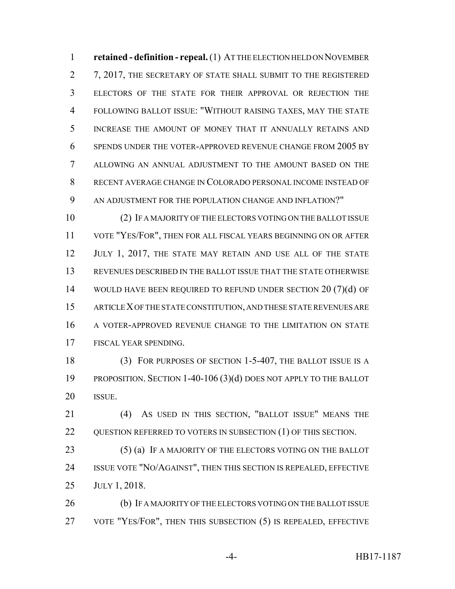**retained - definition - repeal.** (1) AT THE ELECTION HELD ON NOVEMBER 7, 2017, THE SECRETARY OF STATE SHALL SUBMIT TO THE REGISTERED ELECTORS OF THE STATE FOR THEIR APPROVAL OR REJECTION THE FOLLOWING BALLOT ISSUE: "WITHOUT RAISING TAXES, MAY THE STATE INCREASE THE AMOUNT OF MONEY THAT IT ANNUALLY RETAINS AND SPENDS UNDER THE VOTER-APPROVED REVENUE CHANGE FROM 2005 BY ALLOWING AN ANNUAL ADJUSTMENT TO THE AMOUNT BASED ON THE RECENT AVERAGE CHANGE IN COLORADO PERSONAL INCOME INSTEAD OF AN ADJUSTMENT FOR THE POPULATION CHANGE AND INFLATION?"

 (2) IF A MAJORITY OF THE ELECTORS VOTING ON THE BALLOT ISSUE VOTE "YES/FOR", THEN FOR ALL FISCAL YEARS BEGINNING ON OR AFTER 12 JULY 1, 2017, THE STATE MAY RETAIN AND USE ALL OF THE STATE REVENUES DESCRIBED IN THE BALLOT ISSUE THAT THE STATE OTHERWISE 14 WOULD HAVE BEEN REQUIRED TO REFUND UNDER SECTION 20 (7)(d) OF ARTICLE X OF THE STATE CONSTITUTION, AND THESE STATE REVENUES ARE A VOTER-APPROVED REVENUE CHANGE TO THE LIMITATION ON STATE FISCAL YEAR SPENDING.

18 (3) FOR PURPOSES OF SECTION 1-5-407, THE BALLOT ISSUE IS A PROPOSITION. SECTION 1-40-106 (3)(d) DOES NOT APPLY TO THE BALLOT ISSUE.

 (4) AS USED IN THIS SECTION, "BALLOT ISSUE" MEANS THE 22 OUESTION REFERRED TO VOTERS IN SUBSECTION (1) OF THIS SECTION.

23 (5) (a) IF A MAJORITY OF THE ELECTORS VOTING ON THE BALLOT ISSUE VOTE "NO/AGAINST", THEN THIS SECTION IS REPEALED, EFFECTIVE JULY 1, 2018.

26 (b) IF A MAJORITY OF THE ELECTORS VOTING ON THE BALLOT ISSUE VOTE "YES/FOR", THEN THIS SUBSECTION (5) IS REPEALED, EFFECTIVE